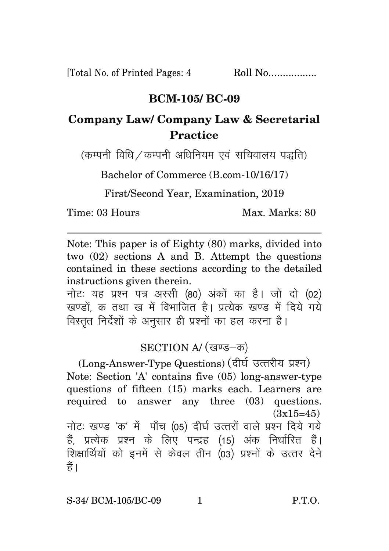[Total No. of Printed Pages: 4 Roll No.................

## **BCM-105/ BC-09**

## **Company Law/ Company Law & Secretarial Practice**

 $(a$ कम्पनी विधि  $\angle$ कम्पनी अधिनियम एवं सचिवालय पद्धति)

Bachelor of Commerce (B.com-10/16/17)

First/Second Year, Examination, 2019

Time: 03 Hours Max. Marks: 80

Note: This paper is of Eighty (80) marks, divided into two (02) sections A and B. Attempt the questions contained in these sections according to the detailed instructions given therein.

नोट: यह प्रश्न पत्र अस्सी (80) अंकों का है। जो दो (02) खण्डों क तथा ख में विभाजित है। प्रत्येक खण्ड में दिये गये विस्तृत निर्देशों के अनुसार ही प्रश्नों का हल करना है।

## SECTION A/ (खण्ड-क)

(Long-Answer-Type Questions) (दीर्घ उत्तरीय प्रश्न) Note: Section 'A' contains five (05) long-answer-type questions of fifteen (15) marks each. Learners are required to answer any three (03) questions.  $(3x15=45)$ नोटः खण्ड 'क' में पाँच (05) दीर्घ उत्तरों वाले प्रश्न दिये गये हैं, प्रत्येक प्रश्न के लिए पन्द्रह (15) अंक निर्धारित हैं। <u>शिक्षार्थियों को इनमें से केवल तीन (03) प्रश्नों के उत्तर देने</u> हैं ।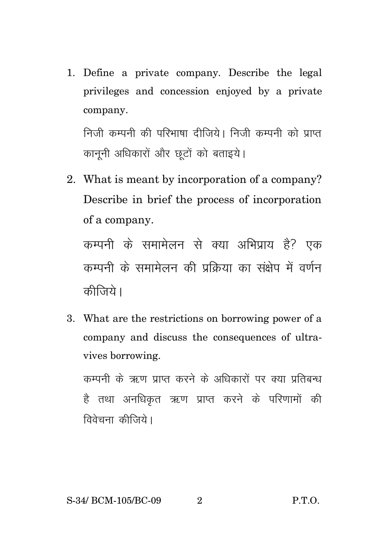1. Define a private company. Describe the legal privileges and concession enjoyed by a private company.

निजी कम्पनी की परिभाषा दीजिये। निजी कम्पनी को प्राप्त कानूनी अधिकारों और छूटों को बताइये।

2. What is meant by incorporation of a company? Describe in brief the process of incorporation of a company.

कम्पनी के समामेलन से क्या अभिप्राय है<sup>?</sup> एक कम्पनी के समामेलन की प्रक्रिया का संक्षेप में वर्णन कीजिये।

3. What are the restrictions on borrowing power of a company and discuss the consequences of ultravives borrowing.

कम्पनी के ऋण प्राप्त करने के अधिकारों पर क्या प्रतिबन्ध है तथा अनधिकृत ऋण प्राप्त करने के परिणामों की विवेचना कीजिये।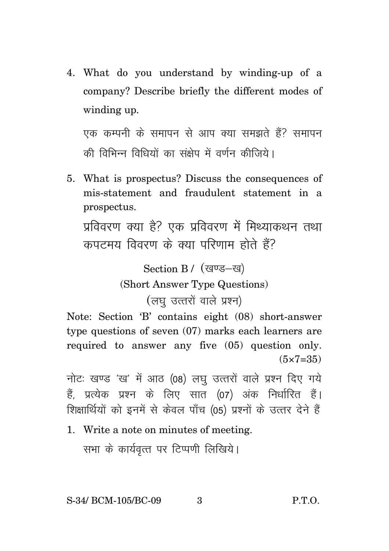4. What do you understand by winding-up of a company? Describe briefly the different modes of winding up.

एक कम्पनी के समापन से आप क्या समझते हैं? समापन की विभिन्न विधियों का संक्षेप में वर्णन कीजिये।

5. What is prospectus? Discuss the consequences of mis-statement and fraudulent statement in a prospectus.

प्रविवरण क्या है? एक प्रविवरण में मिथ्याकथन तथा कपटमय विवरण के क्या परिणाम होते हैं?

> Section B / (खण्ड-ख) (Short Answer Type Questions) (लघु उत्तरों वाले प्रश्न)

Note: Section 'B' contains eight (08) short-answer type questions of seven (07) marks each learners are required to answer any five (05) question only.  $(5 \times 7 = 35)$ 

नोटः खण्ड 'ख' में आठ (08) लघु उत्तरों वाले प्रश्न दिए गये हैं, प्रत्येक प्रश्न के लिए सात (07) अंक निर्धारित हैं। शिक्षार्थियों को इनमें से केवल पाँच (05) प्रश्नों के उत्तर देने हैं

1. Write a note on minutes of meeting.

सभा के कार्यवृत्त पर टिप्पणी लिखिये।